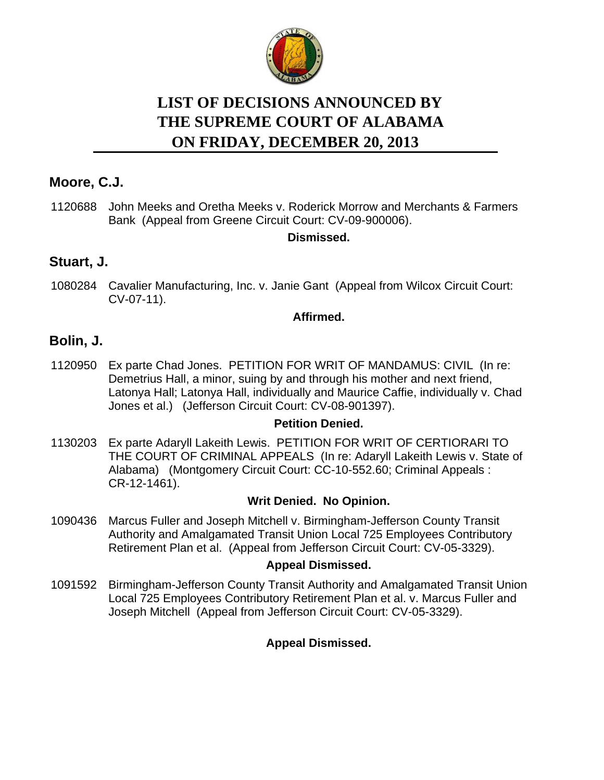

# **LIST OF DECISIONS ANNOUNCED BY ON FRIDAY, DECEMBER 20, 2013 THE SUPREME COURT OF ALABAMA**

# **Moore, C.J.**

1120688 John Meeks and Oretha Meeks v. Roderick Morrow and Merchants & Farmers Bank (Appeal from Greene Circuit Court: CV-09-900006).

# **Dismissed.**

# **Stuart, J.**

1080284 Cavalier Manufacturing, Inc. v. Janie Gant (Appeal from Wilcox Circuit Court: CV-07-11).

### **Affirmed.**

# **Bolin, J.**

1120950 Ex parte Chad Jones. PETITION FOR WRIT OF MANDAMUS: CIVIL (In re: Demetrius Hall, a minor, suing by and through his mother and next friend, Latonya Hall; Latonya Hall, individually and Maurice Caffie, individually v. Chad Jones et al.) (Jefferson Circuit Court: CV-08-901397).

### **Petition Denied.**

1130203 Ex parte Adaryll Lakeith Lewis. PETITION FOR WRIT OF CERTIORARI TO THE COURT OF CRIMINAL APPEALS (In re: Adaryll Lakeith Lewis v. State of Alabama) (Montgomery Circuit Court: CC-10-552.60; Criminal Appeals : CR-12-1461).

### **Writ Denied. No Opinion.**

1090436 Marcus Fuller and Joseph Mitchell v. Birmingham-Jefferson County Transit Authority and Amalgamated Transit Union Local 725 Employees Contributory Retirement Plan et al. (Appeal from Jefferson Circuit Court: CV-05-3329).

### **Appeal Dismissed.**

1091592 Birmingham-Jefferson County Transit Authority and Amalgamated Transit Union Local 725 Employees Contributory Retirement Plan et al. v. Marcus Fuller and Joseph Mitchell (Appeal from Jefferson Circuit Court: CV-05-3329).

### **Appeal Dismissed.**